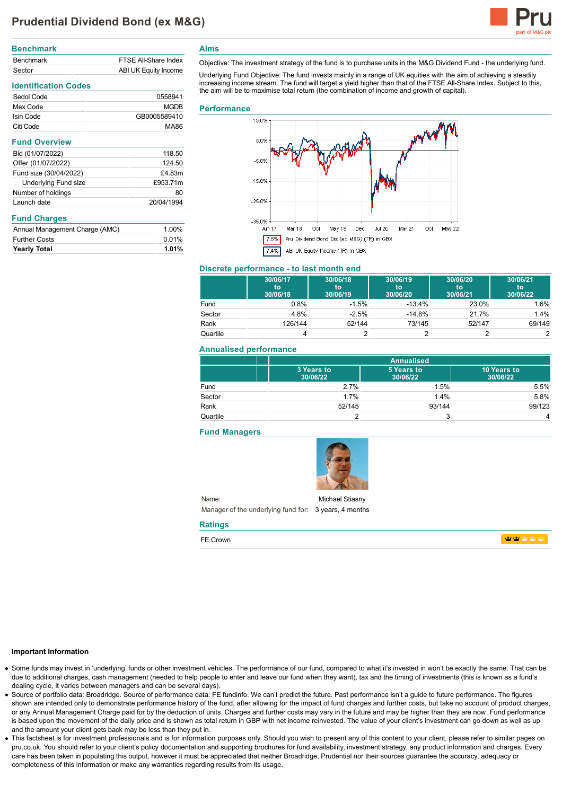

| <b>Benchmark</b> |                      |
|------------------|----------------------|
| <b>Benchmark</b> | FTSF All-Share Index |
| Sector           | ABI UK Equity Income |

# **Identification Codes**

| Sedol Code | 0558941      |
|------------|--------------|
| Mex Code   | <b>MGDB</b>  |
| Isin Code  | GB0005589410 |
| Citi Code  | MA86         |

| <b>Fund Overview</b>   |            |
|------------------------|------------|
| Bid (01/07/2022)       | 118.50     |
| Offer (01/07/2022)     | 124.50     |
| Fund size (30/04/2022) | £4.83m     |
| Underlying Fund size   | £953.71m   |
| Number of holdings     | 80         |
| Launch date            | 20/04/1994 |

# **Fund Charges**

| Annual Management Charge (AMC) | 1.00% |
|--------------------------------|-------|
| <b>Further Costs</b>           | 0.01% |
| <b>Yearly Total</b>            | 1.01% |

**Aims**

Objective: The investment strategy of the fund is to purchase units in the M&G Dividend Fund - the underlying fund.

Underlying Fund Objective: The fund invests mainly in a range of UK equities with the aim of achieving a steadily increasing income stream. The fund will target a yield higher than that of the FTSE All-Share Index. Subject to this, the aim will be to maximise total return (the combination of income and growth of capital).

## **Performance**



# **Discrete performance - to last month end**

|          | 30/06/17<br>to<br>30/06/18 | 30/06/18<br>to<br>30/06/19 | 30/06/19<br>to<br>30/06/20 | 30/06/20<br>to<br>30/06/21 | 30/06/21<br>to<br>30/06/22 |
|----------|----------------------------|----------------------------|----------------------------|----------------------------|----------------------------|
| Fund     | 0.8%                       | $-1.5%$                    | $-13.4%$                   | 23.0%                      | 1.6%                       |
| Sector   | 4.8%                       | $-2.5%$                    | $-14.8%$                   | 21.7%                      | 1.4%                       |
| Rank     | 126/144                    | 52/144                     | 73/145                     | 52/147                     | 69/149                     |
| Quartile |                            |                            |                            |                            |                            |

## **Annualised performance**

|          | <b>Annualised</b>      |                        |                         |
|----------|------------------------|------------------------|-------------------------|
|          | 3 Years to<br>30/06/22 | 5 Years to<br>30/06/22 | 10 Years to<br>30/06/22 |
| Fund     | 2.7%                   | 1.5%                   | 5.5%                    |
| Sector   | 1.7%                   | 1.4%                   | 5.8%                    |
| Rank     | 52/145                 | 93/144                 | 99/123                  |
| Quartile |                        | ົ<br>w                 | 4                       |

# **Fund Managers**



Name: Manager of the underlying fund for: 3 years, 4 months Michael Stiasny

### **Ratings**

FE Crown

**WWW** 

## **Important Information**

- Some funds may invest in 'underlying' funds or other investment vehicles. The performance of our fund, compared to what it's invested in won't be exactly the same. That can be due to additional charges, cash management (needed to help people to enter and leave our fund when they want), tax and the timing of investments (this is known as a fund's dealing cycle, it varies between managers and can be several days).
- Source of portfolio data: Broadridge. Source of performance data: FE fundinfo. We can't predict the future. Past performance isn't a guide to future performance. The figures shown are intended only to demonstrate performance history of the fund, after allowing for the impact of fund charges and further costs, but take no account of product charges, or any Annual Management Charge paid for by the deduction of units. Charges and further costs may vary in the future and may be higher than they are now. Fund performance is based upon the movement of the daily price and is shown as total return in GBP with net income reinvested. The value of your client's investment can go down as well as up and the amount your client gets back may be less than they put in.
- This factsheet is for investment professionals and is for information purposes only. Should you wish to present any of this content to your client, please refer to similar pages on pru.co.uk. You should refer to your client's policy documentation and supporting brochures for fund availability, investment strategy, any product information and charges. Every care has been taken in populating this output, however it must be appreciated that neither Broadridge. Prudential nor their sources guarantee the accuracy, adequacy or completeness of this information or make any warranties regarding results from its usage.